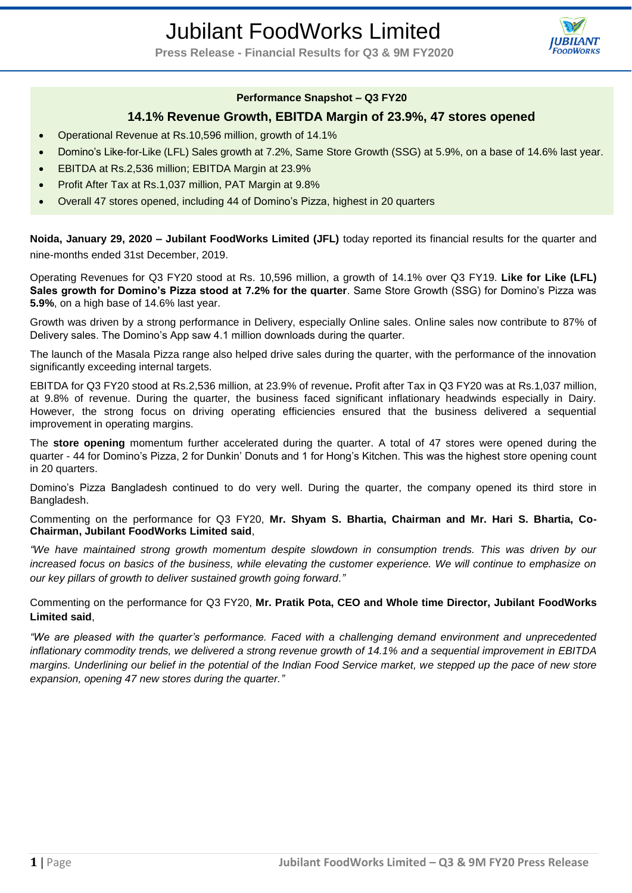# Jubilant FoodWorks Limited



**Press Release - Financial Results for Q3 & 9M FY2020**

## **Performance Snapshot – Q3 FY20**

# **14.1% Revenue Growth, EBITDA Margin of 23.9%, 47 stores opened**

- Operational Revenue at Rs.10,596 million, growth of 14.1%
- Domino's Like-for-Like (LFL) Sales growth at 7.2%, Same Store Growth (SSG) at 5.9%, on a base of 14.6% last year.
- EBITDA at Rs.2,536 million; EBITDA Margin at 23.9%
- Profit After Tax at Rs.1,037 million, PAT Margin at 9.8%
- Overall 47 stores opened, including 44 of Domino's Pizza, highest in 20 quarters

**Noida, January 29, 2020 – Jubilant FoodWorks Limited (JFL)** today reported its financial results for the quarter and nine-months ended 31st December, 2019.

Operating Revenues for Q3 FY20 stood at Rs. 10,596 million, a growth of 14.1% over Q3 FY19. **Like for Like (LFL) Sales growth for Domino's Pizza stood at 7.2% for the quarter**. Same Store Growth (SSG) for Domino's Pizza was **5.9%**, on a high base of 14.6% last year.

Growth was driven by a strong performance in Delivery, especially Online sales. Online sales now contribute to 87% of Delivery sales. The Domino's App saw 4.1 million downloads during the quarter.

The launch of the Masala Pizza range also helped drive sales during the quarter, with the performance of the innovation significantly exceeding internal targets.

EBITDA for Q3 FY20 stood at Rs.2,536 million, at 23.9% of revenue**.** Profit after Tax in Q3 FY20 was at Rs.1,037 million, at 9.8% of revenue. During the quarter, the business faced significant inflationary headwinds especially in Dairy. However, the strong focus on driving operating efficiencies ensured that the business delivered a sequential improvement in operating margins.

The **store opening** momentum further accelerated during the quarter. A total of 47 stores were opened during the quarter - 44 for Domino's Pizza, 2 for Dunkin' Donuts and 1 for Hong's Kitchen. This was the highest store opening count in 20 quarters.

Domino's Pizza Bangladesh continued to do very well. During the quarter, the company opened its third store in Bangladesh.

Commenting on the performance for Q3 FY20, **Mr. Shyam S. Bhartia, Chairman and Mr. Hari S. Bhartia, Co-Chairman, Jubilant FoodWorks Limited said**,

*"We have maintained strong growth momentum despite slowdown in consumption trends. This was driven by our increased focus on basics of the business, while elevating the customer experience. We will continue to emphasize on our key pillars of growth to deliver sustained growth going forward."*

Commenting on the performance for Q3 FY20, **Mr. Pratik Pota, CEO and Whole time Director, Jubilant FoodWorks Limited said**,

*"We are pleased with the quarter's performance. Faced with a challenging demand environment and unprecedented inflationary commodity trends, we delivered a strong revenue growth of 14.1% and a sequential improvement in EBITDA margins. Underlining our belief in the potential of the Indian Food Service market, we stepped up the pace of new store expansion, opening 47 new stores during the quarter."*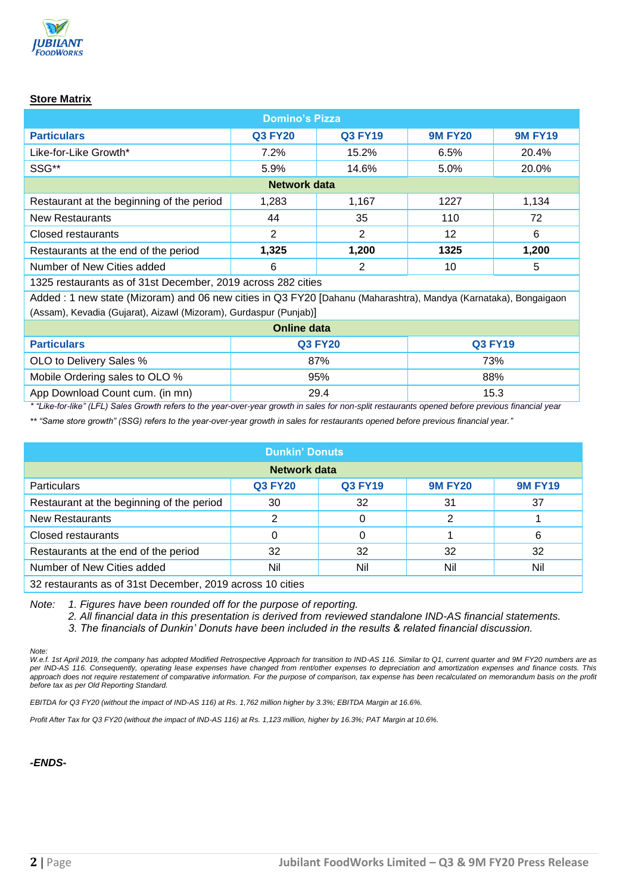

# **Store Matrix**

| <b>Domino's Pizza</b>                     |                |                |                |                |  |  |  |
|-------------------------------------------|----------------|----------------|----------------|----------------|--|--|--|
| <b>Particulars</b>                        | <b>Q3 FY20</b> | <b>Q3 FY19</b> | <b>9M FY20</b> | <b>9M FY19</b> |  |  |  |
| Like-for-Like Growth*                     | 7.2%           | 15.2%          | 6.5%           | 20.4%          |  |  |  |
| SSG**                                     | 5.9%           | 14.6%          | 5.0%           | 20.0%          |  |  |  |
| Network data                              |                |                |                |                |  |  |  |
| Restaurant at the beginning of the period | 1,283          | 1,167          | 1227           | 1,134          |  |  |  |
| <b>New Restaurants</b>                    | 44             | 35             | 110            | 72             |  |  |  |
| Closed restaurants                        | 2              | 2              | 12             | 6              |  |  |  |
| Restaurants at the end of the period      | 1,325          | 1,200          | 1325           | 1,200          |  |  |  |
| Number of New Cities added                | 6              | 2              | 10             | 5              |  |  |  |

1325 restaurants as of 31st December, 2019 across 282 cities

Added : 1 new state (Mizoram) and 06 new cities in Q3 FY20 [Dahanu (Maharashtra), Mandya (Karnataka), Bongaigaon (Assam), Kevadia (Gujarat), Aizawl (Mizoram), Gurdaspur (Punjab)]

| Online data                     |                |         |  |  |  |  |
|---------------------------------|----------------|---------|--|--|--|--|
| <b>Particulars</b>              | <b>Q3 FY20</b> | Q3 FY19 |  |  |  |  |
| OLO to Delivery Sales %         | 87%            | 73%     |  |  |  |  |
| Mobile Ordering sales to OLO %  | 95%            | 88%     |  |  |  |  |
| App Download Count cum. (in mn) | 29.4           | 15.3    |  |  |  |  |

*\* "Like-for-like" (LFL) Sales Growth refers to the year-over-year growth in sales for non-split restaurants opened before previous financial year*

*\*\* "Same store growth" (SSG) refers to the year-over-year growth in sales for restaurants opened before previous financial year."*

| <b>Dunkin' Donuts</b>                                     |                |                |                |                |  |  |  |
|-----------------------------------------------------------|----------------|----------------|----------------|----------------|--|--|--|
| Network data                                              |                |                |                |                |  |  |  |
| <b>Particulars</b>                                        | <b>Q3 FY20</b> | <b>Q3 FY19</b> | <b>9M FY20</b> | <b>9M FY19</b> |  |  |  |
| Restaurant at the beginning of the period                 | 30             | 32             | 31             | 37             |  |  |  |
| <b>New Restaurants</b>                                    | 2              | 0              | 2              |                |  |  |  |
| Closed restaurants                                        | 0              | 0              |                | 6              |  |  |  |
| Restaurants at the end of the period                      | 32             | 32             | 32             | 32             |  |  |  |
| Number of New Cities added                                | Nil            | Nil            | Nil            | Nil            |  |  |  |
| 32 restaurants as of 31st December, 2019 across 10 cities |                |                |                |                |  |  |  |

*Note: 1. Figures have been rounded off for the purpose of reporting.*

*2. All financial data in this presentation is derived from reviewed standalone IND-AS financial statements.*

*3. The financials of Dunkin' Donuts have been included in the results & related financial discussion.* 

*Note:*

*W.e.f. 1st April 2019, the company has adopted Modified Retrospective Approach for transition to IND-AS 116. Similar to Q1, current quarter and 9M FY20 numbers are as per IND-AS 116. Consequently, operating lease expenses have changed from rent/other expenses to depreciation and amortization expenses and finance costs. This*  approach does not require restatement of comparative information. For the purpose of comparison, tax expense has been recalculated on memorandum basis on the profit *before tax as per Old Reporting Standard.*

*EBITDA for Q3 FY20 (without the impact of IND-AS 116) at Rs. 1,762 million higher by 3.3%; EBITDA Margin at 16.6%.*

*Profit After Tax for Q3 FY20 (without the impact of IND-AS 116) at Rs. 1,123 million, higher by 16.3%; PAT Margin at 10.6%.*

*-ENDS-*